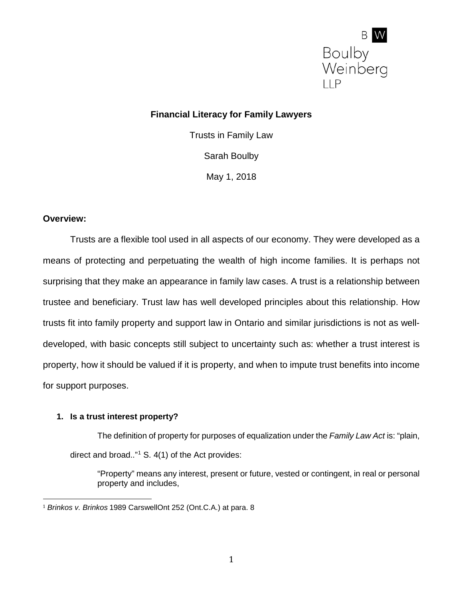

# **Financial Literacy for Family Lawyers**

Trusts in Family Law Sarah Boulby May 1, 2018

#### **Overview:**

Trusts are a flexible tool used in all aspects of our economy. They were developed as a means of protecting and perpetuating the wealth of high income families. It is perhaps not surprising that they make an appearance in family law cases. A trust is a relationship between trustee and beneficiary. Trust law has well developed principles about this relationship. How trusts fit into family property and support law in Ontario and similar jurisdictions is not as welldeveloped, with basic concepts still subject to uncertainty such as: whether a trust interest is property, how it should be valued if it is property, and when to impute trust benefits into income for support purposes.

### **1. Is a trust interest property?**

The definition of property for purposes of equalization under the *Family Law Act* is: "plain, direct and broad.." $1$  S. 4(1) of the Act provides:

"Property" means any interest, present or future, vested or contingent, in real or personal property and includes,

<span id="page-0-0"></span> <sup>1</sup> *Brinkos v. Brinkos* 1989 CarswellOnt 252 (Ont.C.A.) at para. 8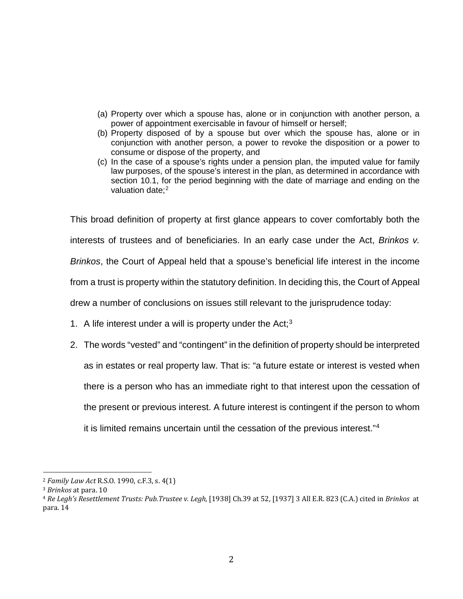- (a) Property over which a spouse has, alone or in conjunction with another person, a power of appointment exercisable in favour of himself or herself;
- (b) Property disposed of by a spouse but over which the spouse has, alone or in conjunction with another person, a power to revoke the disposition or a power to consume or dispose of the property, and
- (c) In the case of a spouse's rights under a pension plan, the imputed value for family law purposes, of the spouse's interest in the plan, as determined in accordance with section 10.1, for the period beginning with the date of marriage and ending on the valuation date:<sup>[2](#page-1-0)</sup>

This broad definition of property at first glance appears to cover comfortably both the interests of trustees and of beneficiaries. In an early case under the Act, *Brinkos v. Brinkos*, the Court of Appeal held that a spouse's beneficial life interest in the income from a trust is property within the statutory definition. In deciding this, the Court of Appeal drew a number of conclusions on issues still relevant to the jurisprudence today:

- 1. A life interest under a will is property under the Act;<sup>[3](#page-1-1)</sup>
- 2. The words "vested" and "contingent" in the definition of property should be interpreted as in estates or real property law. That is: "a future estate or interest is vested when there is a person who has an immediate right to that interest upon the cessation of the present or previous interest. A future interest is contingent if the person to whom it is limited remains uncertain until the cessation of the previous interest."[4](#page-1-2)

<span id="page-1-0"></span> <sup>2</sup> *Family Law Act* R.S.O. 1990, c.F.3, s. 4(1)

<span id="page-1-1"></span><sup>3</sup> *Brinkos* at para. 10

<span id="page-1-2"></span><sup>4</sup> *Re Legh's Resettlement Trusts: Pub.Trustee v. Legh,* [1938] Ch.39 at 52, [1937] 3 All E.R. 823 (C.A.) cited in *Brinkos* at para. 14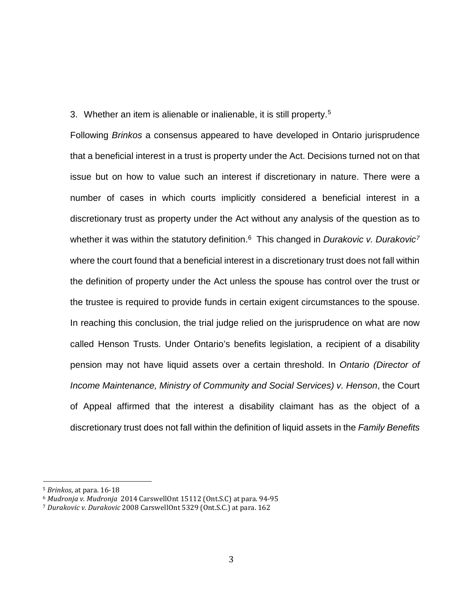3. Whether an item is alienable or inalienable, it is still property.[5](#page-2-0)

Following *Brinkos* a consensus appeared to have developed in Ontario jurisprudence that a beneficial interest in a trust is property under the Act. Decisions turned not on that issue but on how to value such an interest if discretionary in nature. There were a number of cases in which courts implicitly considered a beneficial interest in a discretionary trust as property under the Act without any analysis of the question as to whether it was within the statutory definition.<sup>[6](#page-2-1)</sup> This changed in *Durakovic v. Durakovic<sup>[7](#page-2-2)</sup>* where the court found that a beneficial interest in a discretionary trust does not fall within the definition of property under the Act unless the spouse has control over the trust or the trustee is required to provide funds in certain exigent circumstances to the spouse. In reaching this conclusion, the trial judge relied on the jurisprudence on what are now called Henson Trusts. Under Ontario's benefits legislation, a recipient of a disability pension may not have liquid assets over a certain threshold. In *Ontario (Director of Income Maintenance, Ministry of Community and Social Services) v. Henson*, the Court of Appeal affirmed that the interest a disability claimant has as the object of a discretionary trust does not fall within the definition of liquid assets in the *Family Benefits* 

<span id="page-2-1"></span><span id="page-2-0"></span> <sup>5</sup> *Brinkos*, at para. 16-18

<sup>6</sup> *Mudronja v. Mudronja* 2014 CarswellOnt 15112 (Ont.S.C) at para. 94-95

<span id="page-2-2"></span><sup>7</sup> *Durakovic v. Durakovic* 2008 CarswellOnt 5329 (Ont.S.C.) at para. 162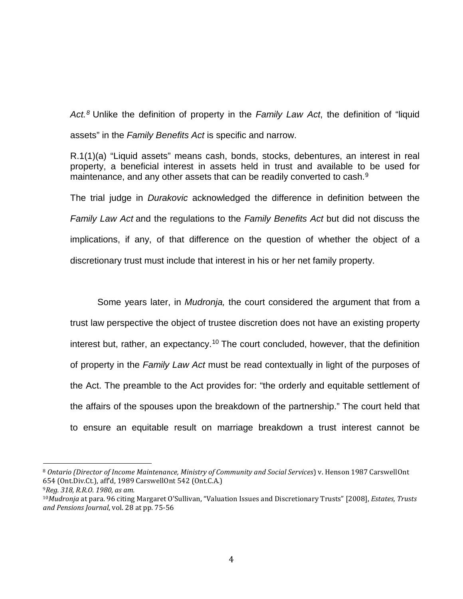*Act.[8](#page-3-0)* Unlike the definition of property in the *Family Law Act*, the definition of "liquid assets" in the *Family Benefits Act* is specific and narrow.

R.1(1)(a) "Liquid assets" means cash, bonds, stocks, debentures, an interest in real property, a beneficial interest in assets held in trust and available to be used for maintenance, and any other assets that can be readily converted to cash.<sup>[9](#page-3-1)</sup>

The trial judge in *Durakovic* acknowledged the difference in definition between the *Family Law Act* and the regulations to the *Family Benefits Act* but did not discuss the implications, if any, of that difference on the question of whether the object of a discretionary trust must include that interest in his or her net family property.

Some years later, in *Mudronja,* the court considered the argument that from a trust law perspective the object of trustee discretion does not have an existing property interest but, rather, an expectancy.<sup>[10](#page-3-2)</sup> The court concluded, however, that the definition of property in the *Family Law Act* must be read contextually in light of the purposes of the Act. The preamble to the Act provides for: "the orderly and equitable settlement of the affairs of the spouses upon the breakdown of the partnership." The court held that to ensure an equitable result on marriage breakdown a trust interest cannot be

<span id="page-3-0"></span> <sup>8</sup> *Ontario (Director of Income Maintenance, Ministry of Community and Social Services*) v. Henson 1987 CarswellOnt 654 (Ont.Div.Ct.), aff'd, 1989 CarswellOnt 542 (Ont.C.A.)

<span id="page-3-1"></span><sup>9</sup>*Reg. 318, R.R.O. 1980, as am.* 

<span id="page-3-2"></span><sup>10</sup>*Mudronja* at para. 96 citing Margaret O'Sullivan, "Valuation Issues and Discretionary Trusts" [2008], *Estates, Trusts and Pensions Journal*, vol. 28 at pp. 75-56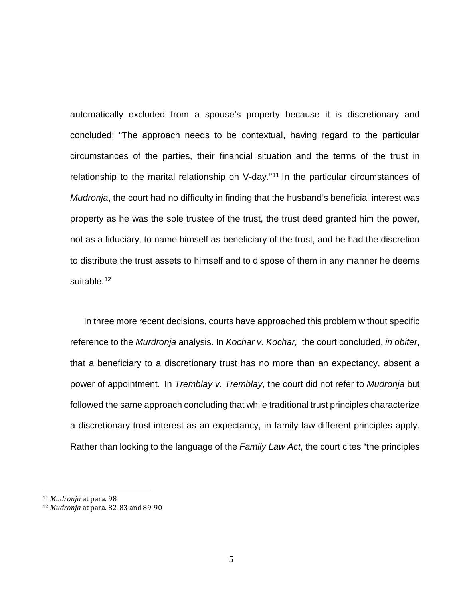automatically excluded from a spouse's property because it is discretionary and concluded: "The approach needs to be contextual, having regard to the particular circumstances of the parties, their financial situation and the terms of the trust in relationship to the marital relationship on V-day."<sup>[11](#page-4-0)</sup> In the particular circumstances of *Mudronja*, the court had no difficulty in finding that the husband's beneficial interest was property as he was the sole trustee of the trust, the trust deed granted him the power, not as a fiduciary, to name himself as beneficiary of the trust, and he had the discretion to distribute the trust assets to himself and to dispose of them in any manner he deems suitable.<sup>[12](#page-4-1)</sup>

In three more recent decisions, courts have approached this problem without specific reference to the *Murdronja* analysis. In *Kochar v. Kochar,* the court concluded, *in obiter*, that a beneficiary to a discretionary trust has no more than an expectancy, absent a power of appointment. In *Tremblay v. Tremblay*, the court did not refer to *Mudronja* but followed the same approach concluding that while traditional trust principles characterize a discretionary trust interest as an expectancy, in family law different principles apply. Rather than looking to the language of the *Family Law Act*, the court cites "the principles

<span id="page-4-0"></span> <sup>11</sup> *Mudronja* at para. 98

<span id="page-4-1"></span><sup>12</sup> *Mudronja* at para. 82-83 and 89-90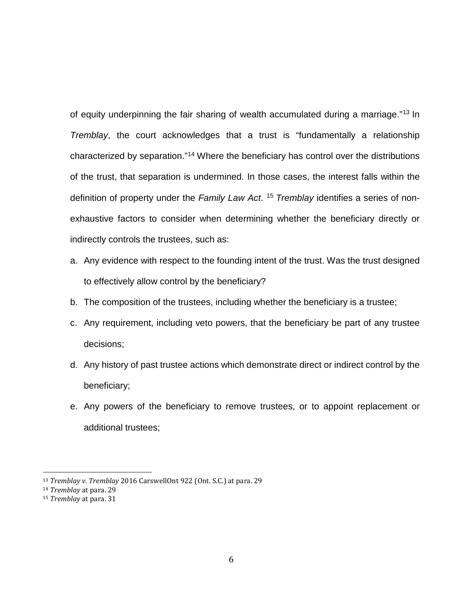of equity underpinning the fair sharing of wealth accumulated during a marriage."[13](#page-5-0) In *Tremblay*, the court acknowledges that a trust is "fundamentally a relationship characterized by separation."[14](#page-5-1) Where the beneficiary has control over the distributions of the trust, that separation is undermined. In those cases, the interest falls within the definition of property under the *Family Law Act*. [15](#page-5-2) *Tremblay* identifies a series of nonexhaustive factors to consider when determining whether the beneficiary directly or indirectly controls the trustees, such as:

- a. Any evidence with respect to the founding intent of the trust. Was the trust designed to effectively allow control by the beneficiary?
- b. The composition of the trustees, including whether the beneficiary is a trustee;
- c. Any requirement, including veto powers, that the beneficiary be part of any trustee decisions;
- d. Any history of past trustee actions which demonstrate direct or indirect control by the beneficiary;
- e. Any powers of the beneficiary to remove trustees, or to appoint replacement or additional trustees;

<span id="page-5-0"></span> <sup>13</sup> *Tremblay v. Tremblay* 2016 CarswellOnt 922 (Ont. S.C.) at para. 29

<span id="page-5-1"></span><sup>14</sup> *Tremblay* at para. 29

<span id="page-5-2"></span><sup>15</sup> *Tremblay* at para. 31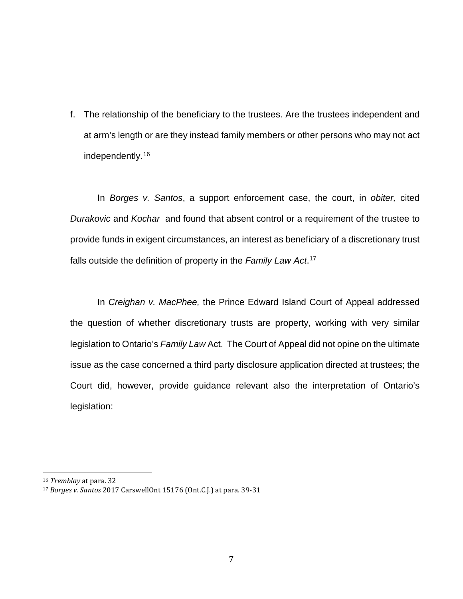f. The relationship of the beneficiary to the trustees. Are the trustees independent and at arm's length or are they instead family members or other persons who may not act independently.[16](#page-6-0)

In *Borges v. Santos*, a support enforcement case, the court, in *obiter,* cited *Durakovic* and *Kochar* and found that absent control or a requirement of the trustee to provide funds in exigent circumstances, an interest as beneficiary of a discretionary trust falls outside the definition of property in the *Family Law Act*. [17](#page-6-1)

In *Creighan v. MacPhee,* the Prince Edward Island Court of Appeal addressed the question of whether discretionary trusts are property, working with very similar legislation to Ontario's *Family Law* Act. The Court of Appeal did not opine on the ultimate issue as the case concerned a third party disclosure application directed at trustees; the Court did, however, provide guidance relevant also the interpretation of Ontario's legislation:

<span id="page-6-0"></span> <sup>16</sup> *Tremblay* at para. 32

<span id="page-6-1"></span><sup>17</sup> *Borges v. Santos* 2017 CarswellOnt 15176 (Ont.C.J.) at para. 39-31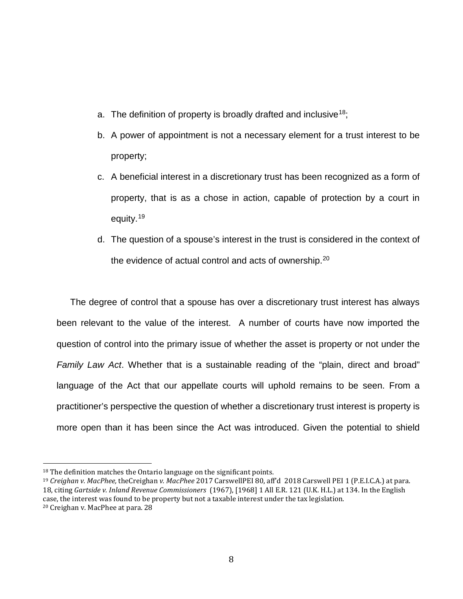- a. The definition of property is broadly drafted and inclusive<sup>[18](#page-7-0)</sup>;
- b. A power of appointment is not a necessary element for a trust interest to be property;
- c. A beneficial interest in a discretionary trust has been recognized as a form of property, that is as a chose in action, capable of protection by a court in equity.[19](#page-7-1)
- d. The question of a spouse's interest in the trust is considered in the context of the evidence of actual control and acts of ownership.<sup>[20](#page-7-2)</sup>

The degree of control that a spouse has over a discretionary trust interest has always been relevant to the value of the interest. A number of courts have now imported the question of control into the primary issue of whether the asset is property or not under the *Family Law Act*. Whether that is a sustainable reading of the "plain, direct and broad" language of the Act that our appellate courts will uphold remains to be seen. From a practitioner's perspective the question of whether a discretionary trust interest is property is more open than it has been since the Act was introduced. Given the potential to shield

<span id="page-7-0"></span><sup>&</sup>lt;sup>18</sup> The definition matches the Ontario language on the significant points.

<span id="page-7-2"></span><span id="page-7-1"></span><sup>19</sup> *Creighan v. MacPhee,* theCreighan *v. MacPhee* 2017 CarswellPEI 80, aff'd 2018 Carswell PEI 1 (P.E.I.C.A.) at para. 18, citing *Gartside v. Inland Revenue Commissioners* (1967), [1968] 1 All E.R. 121 (U.K. H.L.) at 134. In the English case, the interest was found to be property but not a taxable interest under the tax legislation. <sup>20</sup> Creighan v. MacPhee at para. 28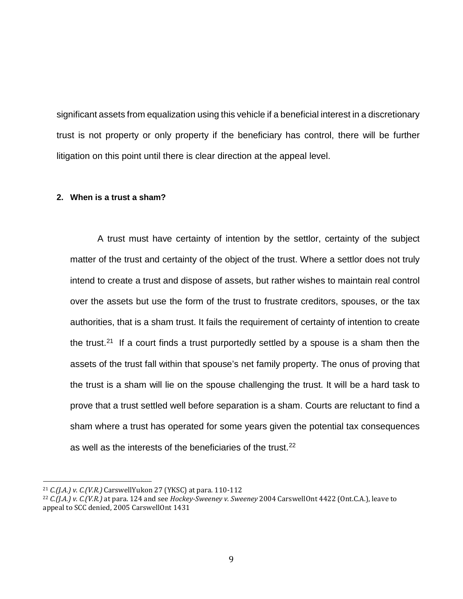significant assets from equalization using this vehicle if a beneficial interest in a discretionary trust is not property or only property if the beneficiary has control, there will be further litigation on this point until there is clear direction at the appeal level.

### **2. When is a trust a sham?**

A trust must have certainty of intention by the settlor, certainty of the subject matter of the trust and certainty of the object of the trust. Where a settlor does not truly intend to create a trust and dispose of assets, but rather wishes to maintain real control over the assets but use the form of the trust to frustrate creditors, spouses, or the tax authorities, that is a sham trust. It fails the requirement of certainty of intention to create the trust.<sup>21</sup> If a court finds a trust purportedly settled by a spouse is a sham then the assets of the trust fall within that spouse's net family property. The onus of proving that the trust is a sham will lie on the spouse challenging the trust. It will be a hard task to prove that a trust settled well before separation is a sham. Courts are reluctant to find a sham where a trust has operated for some years given the potential tax consequences as well as the interests of the beneficiaries of the trust.<sup>[22](#page-8-1)</sup>

<span id="page-8-0"></span> <sup>21</sup> *C.(J.A.) v. C.(V.R.)* CarswellYukon 27 (YKSC) at para. 110-112

<span id="page-8-1"></span><sup>22</sup> *C.(J.A.) v. C.(V.R.)* at para. 124 and see *Hockey-Sweeney v. Sweeney* 2004 CarswellOnt 4422 (Ont.C.A.), leave to appeal to SCC denied, 2005 CarswellOnt 1431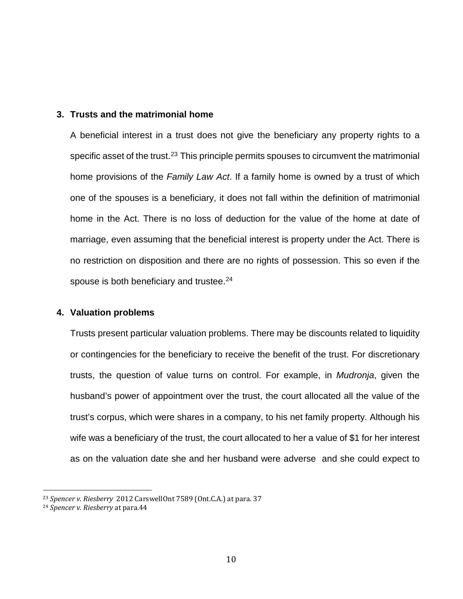#### **3. Trusts and the matrimonial home**

A beneficial interest in a trust does not give the beneficiary any property rights to a specific asset of the trust.<sup>[23](#page-9-0)</sup> This principle permits spouses to circumvent the matrimonial home provisions of the *Family Law Act*. If a family home is owned by a trust of which one of the spouses is a beneficiary, it does not fall within the definition of matrimonial home in the Act. There is no loss of deduction for the value of the home at date of marriage, even assuming that the beneficial interest is property under the Act. There is no restriction on disposition and there are no rights of possession. This so even if the spouse is both beneficiary and trustee.<sup>[24](#page-9-1)</sup>

### **4. Valuation problems**

Trusts present particular valuation problems. There may be discounts related to liquidity or contingencies for the beneficiary to receive the benefit of the trust. For discretionary trusts, the question of value turns on control. For example, in *Mudronja*, given the husband's power of appointment over the trust, the court allocated all the value of the trust's corpus, which were shares in a company, to his net family property. Although his wife was a beneficiary of the trust, the court allocated to her a value of \$1 for her interest as on the valuation date she and her husband were adverse and she could expect to

<span id="page-9-0"></span> <sup>23</sup> *Spencer v. Riesberry* 2012 CarswellOnt 7589 (Ont.C.A.) at para. 37

<span id="page-9-1"></span><sup>24</sup> *Spencer v. Riesberry* at para.44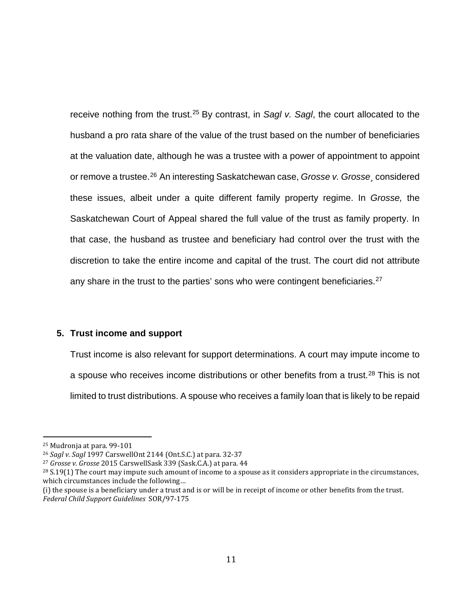receive nothing from the trust.[25](#page-10-0) By contrast, in *Sagl v. Sagl*, the court allocated to the husband a pro rata share of the value of the trust based on the number of beneficiaries at the valuation date, although he was a trustee with a power of appointment to appoint or remove a trustee.[26](#page-10-1) An interesting Saskatchewan case, *Grosse v. Grosse¸* considered these issues, albeit under a quite different family property regime. In *Grosse,* the Saskatchewan Court of Appeal shared the full value of the trust as family property. In that case, the husband as trustee and beneficiary had control over the trust with the discretion to take the entire income and capital of the trust. The court did not attribute any share in the trust to the parties' sons who were contingent beneficiaries.<sup>[27](#page-10-2)</sup>

### **5. Trust income and support**

Trust income is also relevant for support determinations. A court may impute income to a spouse who receives income distributions or other benefits from a trust.<sup>[28](#page-10-3)</sup> This is not limited to trust distributions. A spouse who receives a family loan that is likely to be repaid

<span id="page-10-0"></span> <sup>25</sup> Mudronja at para. 99-101

<span id="page-10-1"></span><sup>26</sup> *Sagl v. Sagl* 1997 CarswellOnt 2144 (Ont.S.C.) at para. 32-37

<span id="page-10-2"></span><sup>27</sup> *Grosse v. Grosse* 2015 CarswellSask 339 (Sask.C.A.) at para. 44

<span id="page-10-3"></span> $28$  S.19(1) The court may impute such amount of income to a spouse as it considers appropriate in the circumstances, which circumstances include the following…

<sup>(</sup>i) the spouse is a beneficiary under a trust and is or will be in receipt of income or other benefits from the trust. *Federal Child Support Guidelines* SOR/97-175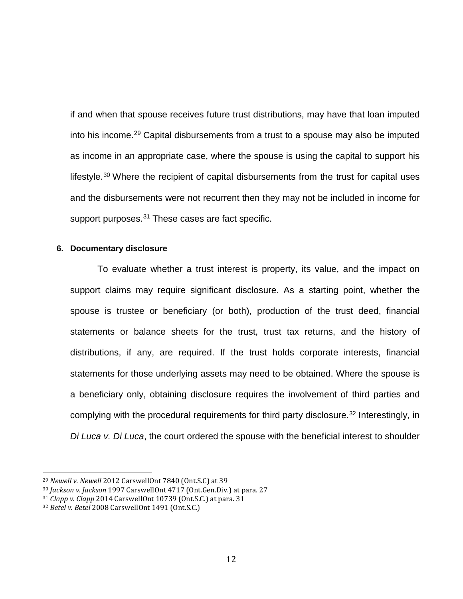if and when that spouse receives future trust distributions, may have that loan imputed into his income.[29](#page-11-0) Capital disbursements from a trust to a spouse may also be imputed as income in an appropriate case, where the spouse is using the capital to support his lifestyle.<sup>[30](#page-11-1)</sup> Where the recipient of capital disbursements from the trust for capital uses and the disbursements were not recurrent then they may not be included in income for support purposes.<sup>31</sup> These cases are fact specific.

#### **6. Documentary disclosure**

To evaluate whether a trust interest is property, its value, and the impact on support claims may require significant disclosure. As a starting point, whether the spouse is trustee or beneficiary (or both), production of the trust deed, financial statements or balance sheets for the trust, trust tax returns, and the history of distributions, if any, are required. If the trust holds corporate interests, financial statements for those underlying assets may need to be obtained. Where the spouse is a beneficiary only, obtaining disclosure requires the involvement of third parties and complying with the procedural requirements for third party disclosure. [32](#page-11-3) Interestingly, in *Di Luca v. Di Luca*, the court ordered the spouse with the beneficial interest to shoulder

<span id="page-11-0"></span> <sup>29</sup> *Newell v. Newell* 2012 CarswellOnt 7840 (Ont.S.C) at 39

<span id="page-11-1"></span><sup>30</sup> *Jackson v. Jackson* 1997 CarswellOnt 4717 (Ont.Gen.Div.) at para. 27

<span id="page-11-2"></span><sup>31</sup> *Clapp v. Clapp* 2014 CarswellOnt 10739 (Ont.S.C.) at para. 31

<span id="page-11-3"></span><sup>32</sup> *Betel v. Betel* 2008 CarswellOnt 1491 (Ont.S.C.)